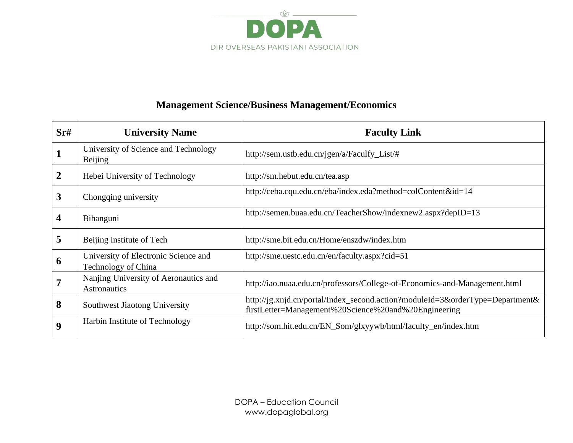

## **Management Science/Business Management/Economics**

| Sr#              | <b>University Name</b>                                      | <b>Faculty Link</b>                                                                                                                   |
|------------------|-------------------------------------------------------------|---------------------------------------------------------------------------------------------------------------------------------------|
|                  | University of Science and Technology<br><b>Beijing</b>      | http://sem.ustb.edu.cn/jgen/a/Faculfy_List/#                                                                                          |
| $\boldsymbol{2}$ | Hebei University of Technology                              | http://sm.hebut.edu.cn/tea.asp                                                                                                        |
| 3                | Chongqing university                                        | http://ceba.cqu.edu.cn/eba/index.eda?method=colContent&id=14                                                                          |
| 4                | Bihanguni                                                   | http://semen.buaa.edu.cn/TeacherShow/indexnew2.aspx?depID=13                                                                          |
| 5                | Beijing institute of Tech                                   | http://sme.bit.edu.cn/Home/enszdw/index.htm                                                                                           |
| 6                | University of Electronic Science and<br>Technology of China | http://sme.uestc.edu.cn/en/faculty.aspx?cid=51                                                                                        |
| 7                | Nanjing University of Aeronautics and<br>Astronautics       | http://iao.nuaa.edu.cn/professors/College-of-Economics-and-Management.html                                                            |
| 8                | Southwest Jiaotong University                               | http://jg.xnjd.cn/portal/Index_second.action?moduleId=3&orderType=Department&<br>firstLetter=Management%20Science%20and%20Engineering |
| 9                | Harbin Institute of Technology                              | http://som.hit.edu.cn/EN_Som/glxyywb/html/faculty_en/index.htm                                                                        |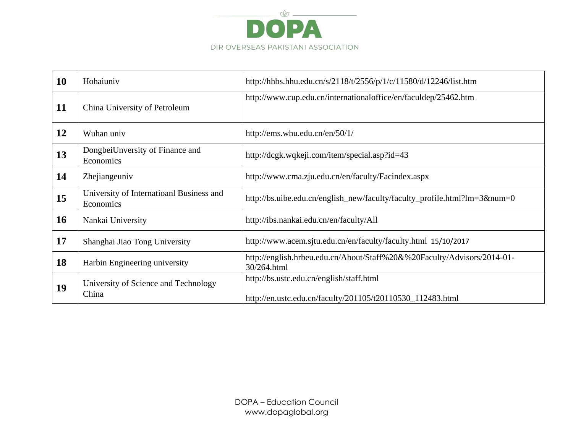

| <b>10</b> | Hohaiuniv                                             | http://hhbs.hhu.edu.cn/s/2118/t/2556/p/1/c/11580/d/12246/list.htm                                      |
|-----------|-------------------------------------------------------|--------------------------------------------------------------------------------------------------------|
| 11        | China University of Petroleum                         | http://www.cup.edu.cn/internationaloffice/en/faculdep/25462.htm                                        |
| 12        | Wuhan univ                                            | http://ems.whu.edu.cn/en/50/1/                                                                         |
| 13        | DongbeiUnversity of Finance and<br>Economics          | http://dcgk.wqkeji.com/item/special.asp?id=43                                                          |
| 14        | Zhejiangeuniv                                         | http://www.cma.zju.edu.cn/en/faculty/Facindex.aspx                                                     |
| 15        | University of Internatioanl Business and<br>Economics | http://bs.uibe.edu.cn/english_new/faculty/faculty_profile.html?lm=3#=0                                 |
| <b>16</b> | Nankai University                                     | http://ibs.nankai.edu.cn/en/faculty/All                                                                |
| 17        | Shanghai Jiao Tong University                         | http://www.acem.sjtu.edu.cn/en/faculty/faculty.html 15/10/2017                                         |
| 18        | Harbin Engineering university                         | http://english.hrbeu.edu.cn/About/Staff%20&%20Faculty/Advisors/2014-01-<br>30/264.html                 |
| 19        | University of Science and Technology<br>China         | http://bs.ustc.edu.cn/english/staff.html<br>http://en.ustc.edu.cn/faculty/201105/t20110530_112483.html |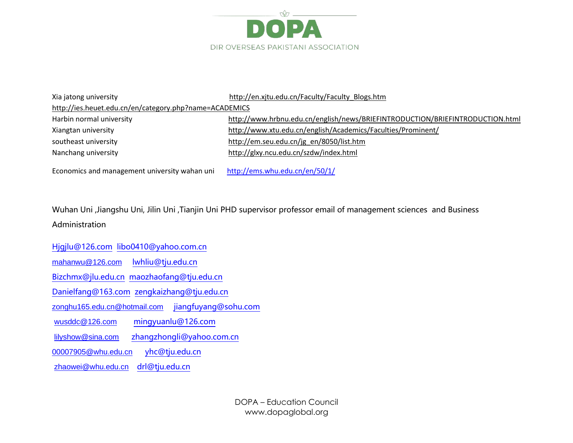

Xia jatong university [http://en.xjtu.edu.cn/Faculty/Faculty\\_Blogs.htm](http://en.xjtu.edu.cn/Faculty/Faculty_Blogs.htm)

<http://ies.heuet.edu.cn/en/category.php?name=ACADEMICS>

| Harbin normal university | http://www.hrbnu.edu.cn/english/news/BRIEFINTRODUCTION/BRIEFINTRODUCTION.html |
|--------------------------|-------------------------------------------------------------------------------|
| Xiangtan university      | http://www.xtu.edu.cn/english/Academics/Faculties/Prominent/                  |
| southeast university     | http://em.seu.edu.cn/jg en/8050/list.htm                                      |
| Nanchang university      | http://glxy.ncu.edu.cn/szdw/index.html                                        |

Economics and management university wahan uni <http://ems.whu.edu.cn/en/50/1/>

Wuhan Uni ,Jiangshu Uni, Jilin Uni ,Tianjin Uni PHD supervisor professor email of management sciences and Business Administration

[Hjgjlu@126.com](mailto:Hjgjlu@126.com) [libo0410@yahoo.com.cn](mailto:libo0410@yahoo.com.cn)

[mahanwu@126.com](mailto:mahanwu@126.com) [lwhliu@tju.edu.cn](mailto:lwhliu@tju.edu.cn)

[Bizchmx@jlu.edu.cn](mailto:Bizchmx@jlu.edu.cn) [maozhaofang@tju.edu.cn](mailto:maozhaofang@tju.edu.cn)

[Danielfang@163.com](mailto:Danielfang@163.com) [zengkaizhang@tju.edu.cn](mailto:zengkaizhang@tju.edu.cn)

[zonghu165.edu.cn@hotmail.com](mailto:zonghu165.edu.cn@hotmail.com) [jiangfuyang@sohu.com](mailto:jiangfuyang@sohu.com)

[wusddc@126.com](mailto:wusddc@126.com) [mingyuanlu@126.com](mailto:mingyuanlu@126.com)

[lilyshow@sina.com](mailto:lilyshow@sina.com) [zhangzhongli@yahoo.com.cn](mailto:zhangzhongli@yahoo.com.cn)

[00007905@whu.edu.cn](mailto:00007905@whu.edu.cn) [yhc@tju.edu.cn](mailto:yhc@tju.edu.cn)

[zhaowei@whu.edu.cn](mailto:zhaowei@whu.edu.cn) [drl@tju.edu.cn](mailto:drl@tju.edu.cn)

DOPA – Education Council www.dopaglobal.org